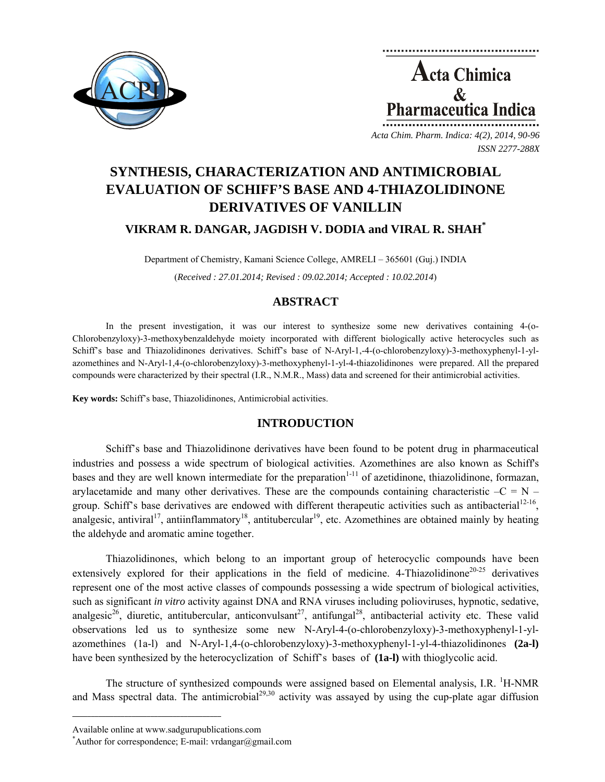

**Acta Chimica**  $\mathcal{R}_{\mathcal{L}}$ Pharmaceutica Indica

*Acta Chim. Pharm. Indica: 4(2), 2014, 90-96 ISSN 2277-288X*

# **SYNTHESIS, CHARACTERIZATION AND ANTIMICROBIAL EVALUATION OF SCHIFF'S BASE AND 4-THIAZOLIDINONE DERIVATIVES OF VANILLIN**

## **VIKRAM R. DANGAR, JAGDISH V. DODIA and VIRAL R. SHAH\***

Department of Chemistry, Kamani Science College, AMRELI – 365601 (Guj.) INDIA (*Received : 27.01.2014; Revised : 09.02.2014; Accepted : 10.02.2014*)

# **ABSTRACT**

In the present investigation, it was our interest to synthesize some new derivatives containing 4-(o-Chlorobenzyloxy)-3-methoxybenzaldehyde moiety incorporated with different biologically active heterocycles such as Schiff's base and Thiazolidinones derivatives. Schiff's base of N-Aryl-1,-4-(o-chlorobenzyloxy)-3-methoxyphenyl-1-ylazomethines and N-Aryl-1,4-(o-chlorobenzyloxy)-3-methoxyphenyl-1-yl-4-thiazolidinones were prepared. All the prepared compounds were characterized by their spectral (I.R., N.M.R., Mass) data and screened for their antimicrobial activities.

**Key words:** Schiff's base, Thiazolidinones, Antimicrobial activities.

# **INTRODUCTION**

Schiff's base and Thiazolidinone derivatives have been found to be potent drug in pharmaceutical industries and possess a wide spectrum of biological activities. Azomethines are also known as Schiff's bases and they are well known intermediate for the preparation $1-11$  of azetidinone, thiazolidinone, formazan, arylacetamide and many other derivatives. These are the compounds containing characteristic  $-C = N$ group. Schiff's base derivatives are endowed with different therapeutic activities such as antibacterial<sup>12-16</sup>, analgesic, antiviral<sup>17</sup>, antiinflammatory<sup>18</sup>, antitubercular<sup>19</sup>, etc. Azomethines are obtained mainly by heating the aldehyde and aromatic amine together.

Thiazolidinones, which belong to an important group of heterocyclic compounds have been extensively explored for their applications in the field of medicine. 4-Thiazolidinone<sup>20-25</sup> derivatives represent one of the most active classes of compounds possessing a wide spectrum of biological activities, such as significant *in vitro* activity against DNA and RNA viruses including polioviruses, hypnotic, sedative, analgesic<sup>26</sup>, diuretic, antitubercular, anticonvulsant<sup>27</sup>, antifungal<sup>28</sup>, antibacterial activity etc. These valid observations led us to synthesize some new N-Aryl-4-(o-chlorobenzyloxy)-3-methoxyphenyl-1-ylazomethines (1a-l) and N-Aryl-1,4-(o-chlorobenzyloxy)-3-methoxyphenyl-1-yl-4-thiazolidinones **(2a-l)** have been synthesized by the heterocyclization of Schiff's bases of **(1a-l)** with thioglycolic acid.

The structure of synthesized compounds were assigned based on Elemental analysis, I.R. <sup>1</sup>H-NMR and Mass spectral data. The antimicrobial<sup>29,30</sup> activity was assayed by using the cup-plate agar diffusion

**\_\_\_\_\_\_\_\_\_\_\_\_\_\_\_\_\_\_\_\_\_\_\_\_\_\_\_\_\_\_\_\_\_\_\_\_\_\_\_\_**

Available online at www.sadgurupublications.com \*

<sup>\*</sup>Author for correspondence; E-mail: vrdangar@gmail.com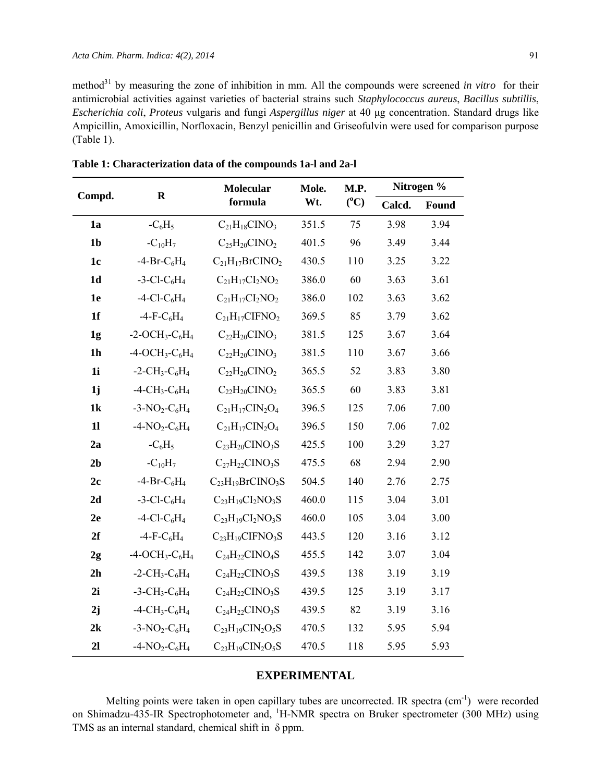method<sup>31</sup> by measuring the zone of inhibition in mm. All the compounds were screened *in vitro* for their antimicrobial activities against varieties of bacterial strains such *Staphylococcus aureus*, *Bacillus subtillis*, *Escherichia coli*, *Proteus* vulgaris and fungi *Aspergillus niger* at 40 μg concentration. Standard drugs like Ampicillin, Amoxicillin, Norfloxacin, Benzyl penicillin and Griseofulvin were used for comparison purpose (Table 1).

| Compd.         | $\mathbf R$                                           | Molecular<br>formula    | Mole.<br>Wt. | M.P.<br>$(^{\circ}C)$ | Nitrogen % |       |
|----------------|-------------------------------------------------------|-------------------------|--------------|-----------------------|------------|-------|
|                |                                                       |                         |              |                       | Calcd.     | Found |
| 1a             | $-C_6H_5$                                             | $C_{21}H_{18}CINO_3$    | 351.5        | 75                    | 3.98       | 3.94  |
| 1 <sub>b</sub> | $-C_{10}H_7$                                          | $C_{25}H_{20}CINO_2$    | 401.5        | 96                    | 3.49       | 3.44  |
| 1c             | $-4-Pr-C6H4$                                          | $C_{21}H_{17}BrCINO_2$  | 430.5        | 110                   | 3.25       | 3.22  |
| 1 <sub>d</sub> | $-3$ -Cl-C <sub>6</sub> H <sub>4</sub>                | $C_{21}H_{17}Cl_2NO_2$  | 386.0        | 60                    | 3.63       | 3.61  |
| 1e             | $-4$ -Cl-C <sub>6</sub> H <sub>4</sub>                | $C_{21}H_{17}Cl_2NO_2$  | 386.0        | 102                   | 3.63       | 3.62  |
| 1f             | $-4-F-C6H4$                                           | $C_{21}H_{17}CIFNO2$    | 369.5        | 85                    | 3.79       | 3.62  |
| 1 <sub>g</sub> | $-2$ -OCH <sub>3</sub> -C <sub>6</sub> H <sub>4</sub> | $C_{22}H_{20}CINO$      | 381.5        | 125                   | 3.67       | 3.64  |
| 1 <sub>h</sub> | $-4$ -OCH <sub>3</sub> -C <sub>6</sub> H <sub>4</sub> | $C_{22}H_{20}CINO_3$    | 381.5        | 110                   | 3.67       | 3.66  |
| 1 <sub>i</sub> | $-2$ -CH <sub>3</sub> -C <sub>6</sub> H <sub>4</sub>  | $C_{22}H_{20}CINO_2$    | 365.5        | 52                    | 3.83       | 3.80  |
| 1j             | $-4$ -CH <sub>3</sub> -C <sub>6</sub> H <sub>4</sub>  | $C_{22}H_{20}CINO_2$    | 365.5        | 60                    | 3.83       | 3.81  |
| 1k             | $-3-NO_2-C_6H_4$                                      | $C_{21}H_{17}CIN_2O_4$  | 396.5        | 125                   | 7.06       | 7.00  |
| 11             | $-4$ -NO <sub>2</sub> -C <sub>6</sub> H <sub>4</sub>  | $C_{21}H_{17}CIN_2O_4$  | 396.5        | 150                   | 7.06       | 7.02  |
| 2a             | $-C_6H_5$                                             | $C_{23}H_{20}CINO_3S$   | 425.5        | 100                   | 3.29       | 3.27  |
| 2 <sub>b</sub> | $-C_{10}H_7$                                          | $C_{27}H_{22}CINO_3S$   | 475.5        | 68                    | 2.94       | 2.90  |
| 2c             | $-4-Pr-C6H4$                                          | $C_{23}H_{19}BrCINO3S$  | 504.5        | 140                   | 2.76       | 2.75  |
| 2d             | $-3$ -Cl-C <sub>6</sub> H <sub>4</sub>                | $C_{23}H_{19}Cl_2NO_3S$ | 460.0        | 115                   | 3.04       | 3.01  |
| 2e             | $-4$ -Cl-C <sub>6</sub> H <sub>4</sub>                | $C_{23}H_{19}CI_2NO_3S$ | 460.0        | 105                   | 3.04       | 3.00  |
| 2f             | $-4-F-C6H4$                                           | $C_{23}H_{19}CIFNO_3S$  | 443.5        | 120                   | 3.16       | 3.12  |
| 2g             | $-4$ -OCH <sub>3</sub> -C <sub>6</sub> H <sub>4</sub> | $C_{24}H_{22}CINO4S$    | 455.5        | 142                   | 3.07       | 3.04  |
| 2 <sub>h</sub> | $-2$ -CH <sub>3</sub> -C <sub>6</sub> H <sub>4</sub>  | $C_{24}H_{22}CINO_3S$   | 439.5        | 138                   | 3.19       | 3.19  |
| 2i             | $-3$ -CH <sub>3</sub> -C <sub>6</sub> H <sub>4</sub>  | $C_{24}H_{22}CINO_3S$   | 439.5        | 125                   | 3.19       | 3.17  |
| 2j             | $-4$ -CH <sub>3</sub> -C <sub>6</sub> H <sub>4</sub>  | $C_{24}H_{22}CINO_3S$   | 439.5        | 82                    | 3.19       | 3.16  |
| 2k             | $-3-NO_2-C_6H_4$                                      | $C_{23}H_{19}CIN_2O_5S$ | 470.5        | 132                   | 5.95       | 5.94  |
| 2 <sub>l</sub> | $-4-NO_2-C_6H_4$                                      | $C_{23}H_{19}CIN_2O_5S$ | 470.5        | 118                   | 5.95       | 5.93  |

**Table 1: Characterization data of the compounds 1a-l and 2a-l** 

## **EXPERIMENTAL**

Melting points were taken in open capillary tubes are uncorrected. IR spectra (cm<sup>-1</sup>) were recorded on Shimadzu-435-IR Spectrophotometer and, <sup>1</sup>H-NMR spectra on Bruker spectrometer (300 MHz) using TMS as an internal standard, chemical shift in δ ppm.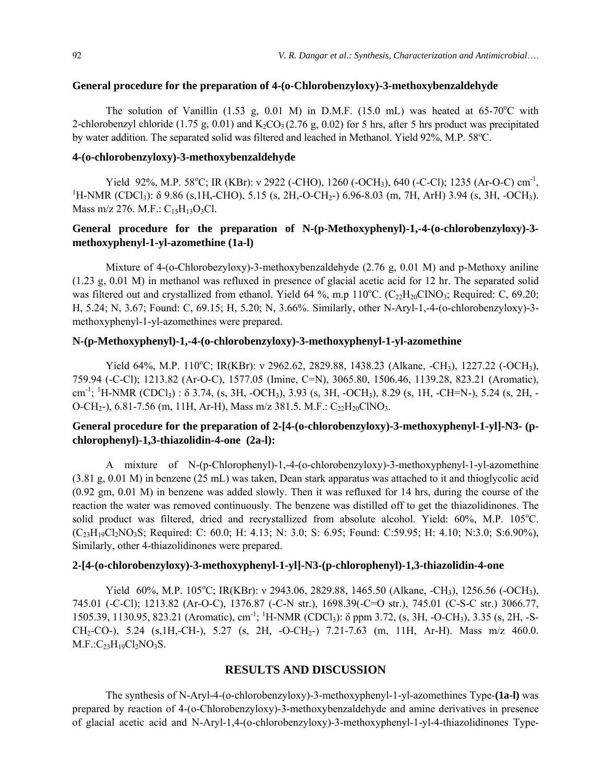#### **General procedure for the preparation of 4-(o-Chlorobenzyloxy)-3-methoxybenzaldehyde**

The solution of Vanillin (1.53 g, 0.01 M) in D.M.F. (15.0 mL) was heated at  $65-70^{\circ}$ C with 2-chlorobenzyl chloride (1.75 g, 0.01) and  $K_2CO_3(2.76 \text{ g}, 0.02)$  for 5 hrs, after 5 hrs product was precipitated by water addition. The separated solid was filtered and leached in Methanol. Yield 92%, M.P. 58°C.

#### **4-(o-chlorobenzyloxy)-3-methoxybenzaldehyde**

Yield 92%, M.P. 58<sup>o</sup>C; IR (KBr): v 2922 (-CHO), 1260 (-OCH<sub>3</sub>), 640 (-C-Cl); 1235 (Ar-O-C) cm<sup>-1</sup>, <sup>1</sup>H NMP (CDCL): 8.0.86 (a 1H CHO), 5.15 (a 2H O CH<sub>2</sub>), 6.06.8.03 (m<sup>-7H</sup> Arth 3.04 (a 2H OCH) <sup>1</sup>H-NMR (CDCl<sub>3</sub>):  $\delta$  9.86 (s,1H,-CHO), 5.15 (s, 2H,-O-CH<sub>2</sub>-) 6.96-8.03 (m, 7H, ArH) 3.94 (s, 3H, -OCH<sub>3</sub>). Mass m/z 276. M.F.:  $C_{15}H_{13}O_3Cl$ .

## **General procedure for the preparation of N-(p-Methoxyphenyl)-1,-4-(o-chlorobenzyloxy)-3 methoxyphenyl-1-yl-azomethine (1a-l)**

Mixture of 4-(o-Chlorobezyloxy)-3-methoxybenzaldehyde (2.76 g, 0.01 M) and p-Methoxy aniline (1.23 g, 0.01 M) in methanol was refluxed in presence of glacial acetic acid for 12 hr. The separated solid was filtered out and crystallized from ethanol. Yield 64 %, m.p  $110^{\circ}$ C. (C<sub>22</sub>H<sub>20</sub>CINO<sub>3</sub>; Required: C, 69.20; H, 5.24; N, 3.67; Found: C, 69.15; H, 5.20; N, 3.66%. Similarly, other N-Aryl-1,-4-(o-chlorobenzyloxy)-3 methoxyphenyl-1-yl-azomethines were prepared.

## **N-(p-Methoxyphenyl)-1,-4-(o-chlorobenzyloxy)-3-methoxyphenyl-1-yl-azomethine**

Yield 64%, M.P. 110°C; IR(KBr): v 2962.62, 2829.88, 1438.23 (Alkane, -CH<sub>3</sub>), 1227.22 (-OCH<sub>3</sub>), 759.94 (-C-Cl); 1213.82 (Ar-O-C), 1577.05 (Imine, C=N), 3065.80, 1506.46, 1139.28, 823.21 (Aromatic), cm<sup>-1</sup>; <sup>1</sup>H-NMR (CDCl<sub>3</sub>) : δ 3.74, (s, 3H, -OCH<sub>3</sub>), 3.93 (s, 3H, -OCH<sub>3</sub>), 8.29 (s, 1H, -CH=N-), 5.24 (s, 2H, -O-CH<sub>2</sub>-), 6.81-7.56 (m, 11H, Ar-H), Mass m/z 381.5. M.F.: C<sub>22</sub>H<sub>20</sub>ClNO<sub>3</sub>.

# General procedure for the preparation of 2-[4-(o-chlorobenzyloxy)-3-methoxyphenyl-1-yl]-N3- (p**chlorophenyl)-1,3-thiazolidin-4-one (2a-l):**

A mixture of N-(p-Chlorophenyl)-1,-4-(o-chlorobenzyloxy)-3-methoxyphenyl-1-yl-azomethine (3.81 g, 0.01 M) in benzene (25 mL) was taken, Dean stark apparatus was attached to it and thioglycolic acid (0.92 gm, 0.01 M) in benzene was added slowly. Then it was refluxed for 14 hrs, during the course of the reaction the water was removed continuously. The benzene was distilled off to get the thiazolidinones. The solid product was filtered, dried and recrystallized from absolute alcohol. Yield: 60%, M.P. 105°C. (C23H19Cl2NO3S; Required: C: 60.0; H: 4.13; N: 3.0; S: 6.95; Found: C:59.95; H: 4.10; N:3.0; S:6.90%), Similarly, other 4-thiazolidinones were prepared.

#### **2-[4-(o-chlorobenzyloxy)-3-methoxyphenyl-1-yl]-N3-(p-chlorophenyl)-1,3-thiazolidin-4-one**

Yield 60%, M.P. 105°C; IR(KBr): v 2943.06, 2829.88, 1465.50 (Alkane, -CH<sub>3</sub>), 1256.56 (-OCH<sub>3</sub>), 745.01 (-C-Cl); 1213.82 (Ar-O-C), 1376.87 (-C-N str.), 1698.39(-C=O str.), 745.01 (C-S-C str.) 3066.77, 1505.39, 1130.95, 823.21 (Aromatic), cm<sup>-1</sup>; <sup>1</sup>H-NMR (CDCl<sub>3</sub>): δ ppm 3.72, (s, 3H, -O-CH<sub>3</sub>), 3.35 (s, 2H, -S-CH2-CO-), 5.24 (s,1H,-CH-), 5.27 (s, 2H, -O-CH2-) 7.21-7.63 (m, 11H, Ar-H). Mass m/z 460.0.  $M.F.:C_{23}H_{19}Cl_2NO_3S.$ 

#### **RESULTS AND DISCUSSION**

The synthesis of N-Aryl-4-(o-chlorobenzyloxy)-3-methoxyphenyl-1-yl-azomethines Type-**(1a-l)** was prepared by reaction of 4-(o-Chlorobenzyloxy)-3-methoxybenzaldehyde and amine derivatives in presence of glacial acetic acid and N-Aryl-1,4-(o-chlorobenzyloxy)-3-methoxyphenyl-1-yl-4-thiazolidinones Type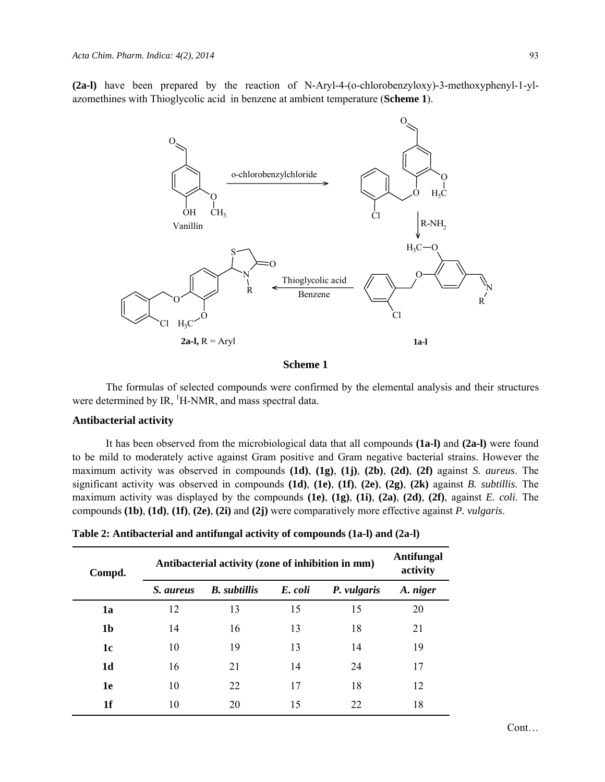**(2a-l)** have been prepared by the reaction of N-Aryl-4-(o-chlorobenzyloxy)-3-methoxyphenyl-1-ylazomethines with Thioglycolic acid in benzene at ambient temperature (**Scheme 1**).



#### **Scheme 1**

The formulas of selected compounds were confirmed by the elemental analysis and their structures were determined by IR,  ${}^{1}$ H-NMR, and mass spectral data.

### **Antibacterial activity**

It has been observed from the microbiological data that all compounds **(1a-l)** and **(2a-l)** were found to be mild to moderately active against Gram positive and Gram negative bacterial strains. However the maximum activity was observed in compounds **(1d)**, **(1g)**, **(1j)**, **(2b)**, **(2d)**, **(2f)** against *S. aureus*. The significant activity was observed in compounds **(1d)**, **(1e)**, **(1f)**, **(2e)**, **(2g)**, **(2k)** against *B. subtillis*. The maximum activity was displayed by the compounds **(1e)**, **(1g)**, **(1i)**, **(2a)**, **(2d)**, **(2f)**, against *E. coli*. The compounds **(1b)**, **(1d)**, **(1f)**, **(2e)**, **(2i)** and **(2j)** were comparatively more effective against *P. vulgaris*.

**Table 2: Antibacterial and antifungal activity of compounds (1a-l) and (2a-l)** 

| Compd.         | Antibacterial activity (zone of inhibition in mm) | <b>Antifungal</b><br>activity |         |             |          |
|----------------|---------------------------------------------------|-------------------------------|---------|-------------|----------|
|                | <i>S. aureus</i>                                  | <b>B.</b> subtillis           | E. coli | P. vulgaris | A. niger |
| 1a             | 12                                                | 13                            | 15      | 15          | 20       |
| 1 <sub>b</sub> | 14                                                | 16                            | 13      | 18          | 21       |
| 1 <sub>c</sub> | 10                                                | 19                            | 13      | 14          | 19       |
| 1 <sub>d</sub> | 16                                                | 21                            | 14      | 24          | 17       |
| 1e             | 10                                                | 22                            | 17      | 18          | 12       |
| 1f             | 10                                                | 20                            | 15      | 22          | 18       |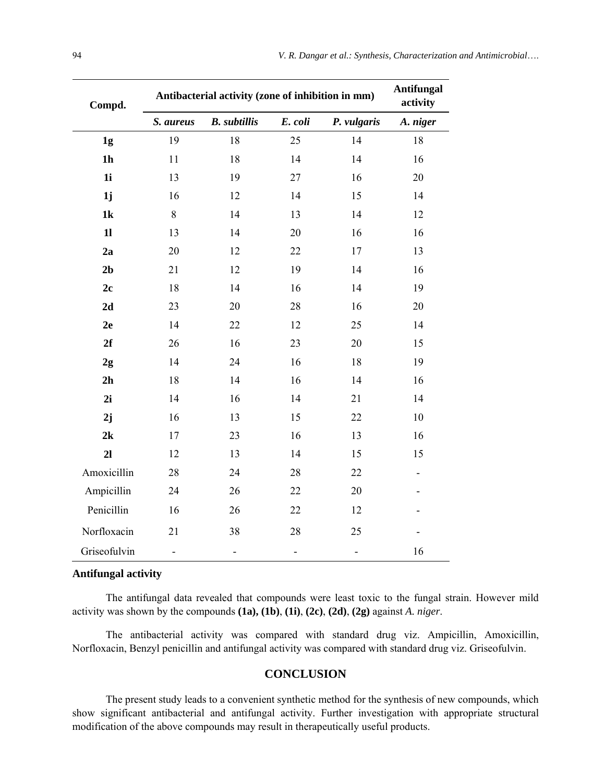| Compd.         | Antibacterial activity (zone of inhibition in mm) | <b>Antifungal</b><br>activity |                          |                          |          |
|----------------|---------------------------------------------------|-------------------------------|--------------------------|--------------------------|----------|
|                | S. aureus                                         | <b>B.</b> subtillis           | E. coli                  | P. vulgaris              | A. niger |
| 1 <sub>g</sub> | 19                                                | 18                            | 25                       | 14                       | 18       |
| 1 <sub>h</sub> | 11                                                | 18                            | 14                       | 14                       | 16       |
| 1i             | 13                                                | 19                            | 27                       | 16                       | 20       |
| 1j             | 16                                                | 12                            | 14                       | 15                       | 14       |
| 1k             | 8                                                 | 14                            | 13                       | 14                       | 12       |
| 11             | 13                                                | 14                            | 20                       | 16                       | 16       |
| 2a             | 20                                                | 12                            | 22                       | 17                       | 13       |
| 2 <sub>b</sub> | 21                                                | 12                            | 19                       | 14                       | 16       |
| 2c             | 18                                                | 14                            | 16                       | 14                       | 19       |
| 2d             | 23                                                | 20                            | 28                       | 16                       | 20       |
| 2e             | 14                                                | 22                            | 12                       | 25                       | 14       |
| 2f             | 26                                                | 16                            | 23                       | 20                       | 15       |
| 2g             | 14                                                | 24                            | 16                       | 18                       | 19       |
| 2h             | 18                                                | 14                            | 16                       | 14                       | 16       |
| 2i             | 14                                                | 16                            | 14                       | 21                       | 14       |
| 2j             | 16                                                | 13                            | 15                       | 22                       | 10       |
| 2k             | 17                                                | 23                            | 16                       | 13                       | 16       |
| 21             | 12                                                | 13                            | 14                       | 15                       | 15       |
| Amoxicillin    | 28                                                | 24                            | 28                       | 22                       |          |
| Ampicillin     | 24                                                | 26                            | 22                       | 20                       |          |
| Penicillin     | 16                                                | 26                            | 22                       | 12                       |          |
| Norfloxacin    | 21                                                | 38                            | 28                       | 25                       |          |
| Griseofulvin   | $\qquad \qquad \blacksquare$                      | $\overline{\phantom{0}}$      | $\overline{\phantom{0}}$ | $\overline{\phantom{0}}$ | 16       |

#### **Antifungal activity**

The antifungal data revealed that compounds were least toxic to the fungal strain. However mild activity was shown by the compounds **(1a), (1b)**, **(1i)**, **(2c)**, **(2d)**, **(2g)** against *A. niger*.

The antibacterial activity was compared with standard drug viz. Ampicillin, Amoxicillin, Norfloxacin, Benzyl penicillin and antifungal activity was compared with standard drug viz. Griseofulvin.

## **CONCLUSION**

The present study leads to a convenient synthetic method for the synthesis of new compounds, which show significant antibacterial and antifungal activity. Further investigation with appropriate structural modification of the above compounds may result in therapeutically useful products.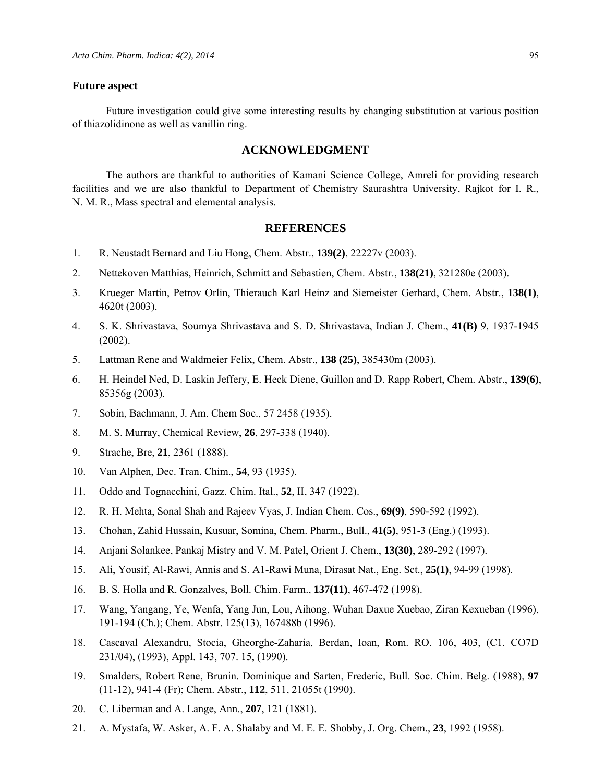#### **Future aspect**

Future investigation could give some interesting results by changing substitution at various position of thiazolidinone as well as vanillin ring.

#### **ACKNOWLEDGMENT**

The authors are thankful to authorities of Kamani Science College, Amreli for providing research facilities and we are also thankful to Department of Chemistry Saurashtra University, Rajkot for I. R., N. M. R., Mass spectral and elemental analysis.

#### **REFERENCES**

- 1. R. Neustadt Bernard and Liu Hong, Chem. Abstr., **139(2)**, 22227v (2003).
- 2. Nettekoven Matthias, Heinrich, Schmitt and Sebastien, Chem. Abstr., **138(21)**, 321280e (2003).
- 3. Krueger Martin, Petrov Orlin, Thierauch Karl Heinz and Siemeister Gerhard, Chem. Abstr., **138(1)**, 4620t (2003).
- 4. S. K. Shrivastava, Soumya Shrivastava and S. D. Shrivastava, Indian J. Chem., **41(B)** 9, 1937-1945 (2002).
- 5. Lattman Rene and Waldmeier Felix, Chem. Abstr., **138 (25)**, 385430m (2003).
- 6. H. Heindel Ned, D. Laskin Jeffery, E. Heck Diene, Guillon and D. Rapp Robert, Chem. Abstr., **139(6)**, 85356g (2003).
- 7. Sobin, Bachmann, J. Am. Chem Soc., 57 2458 (1935).
- 8. M. S. Murray, Chemical Review, **26**, 297-338 (1940).
- 9. Strache, Bre, **21**, 2361 (1888).
- 10. Van Alphen, Dec. Tran. Chim., **54**, 93 (1935).
- 11. Oddo and Tognacchini, Gazz. Chim. Ital., **52**, II, 347 (1922).
- 12. R. H. Mehta, Sonal Shah and Rajeev Vyas, J. Indian Chem. Cos., **69(9)**, 590-592 (1992).
- 13. Chohan, Zahid Hussain, Kusuar, Somina, Chem. Pharm., Bull., **41(5)**, 951-3 (Eng.) (1993).
- 14. Anjani Solankee, Pankaj Mistry and V. M. Patel, Orient J. Chem., **13(30)**, 289-292 (1997).
- 15. Ali, Yousif, Al-Rawi, Annis and S. A1-Rawi Muna, Dirasat Nat., Eng. Sct., **25(1)**, 94-99 (1998).
- 16. B. S. Holla and R. Gonzalves, Boll. Chim. Farm., **137(11)**, 467-472 (1998).
- 17. Wang, Yangang, Ye, Wenfa, Yang Jun, Lou, Aihong, Wuhan Daxue Xuebao, Ziran Kexueban (1996), 191-194 (Ch.); Chem. Abstr. 125(13), 167488b (1996).
- 18. Cascaval Alexandru, Stocia, Gheorghe-Zaharia, Berdan, Ioan, Rom. RO. 106, 403, (C1. CO7D 231/04), (1993), Appl. 143, 707. 15, (1990).
- 19. Smalders, Robert Rene, Brunin. Dominique and Sarten, Frederic, Bull. Soc. Chim. Belg. (1988), **97** (11-12), 941-4 (Fr); Chem. Abstr., **112**, 511, 21055t (1990).
- 20. C. Liberman and A. Lange, Ann., **207**, 121 (1881).
- 21. A. Mystafa, W. Asker, A. F. A. Shalaby and M. E. E. Shobby, J. Org. Chem., **23**, 1992 (1958).